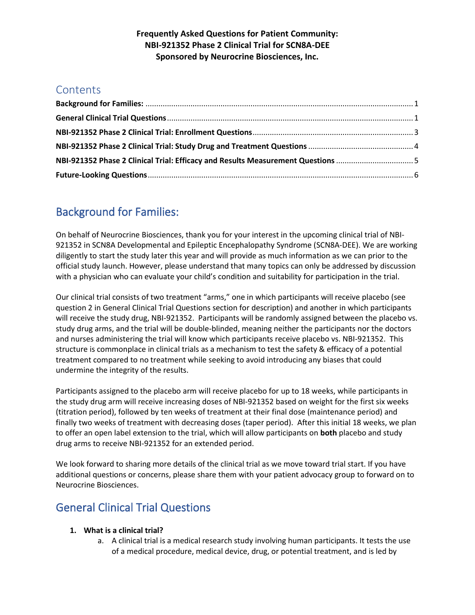## **Contents**

| NBI-921352 Phase 2 Clinical Trial: Efficacy and Results Measurement Questions |  |
|-------------------------------------------------------------------------------|--|
|                                                                               |  |

# <span id="page-0-0"></span>Background for Families:

On behalf of Neurocrine Biosciences, thank you for your interest in the upcoming clinical trial of NBI-921352 in SCN8A Developmental and Epileptic Encephalopathy Syndrome (SCN8A-DEE). We are working diligently to start the study later this year and will provide as much information as we can prior to the official study launch. However, please understand that many topics can only be addressed by discussion with a physician who can evaluate your child's condition and suitability for participation in the trial.

Our clinical trial consists of two treatment "arms," one in which participants will receive placebo (see question 2 in General Clinical Trial Questions section for description) and another in which participants will receive the study drug, NBI-921352. Participants will be randomly assigned between the placebo vs. study drug arms, and the trial will be double-blinded, meaning neither the participants nor the doctors and nurses administering the trial will know which participants receive placebo vs. NBI-921352. This structure is commonplace in clinical trials as a mechanism to test the safety & efficacy of a potential treatment compared to no treatment while seeking to avoid introducing any biases that could undermine the integrity of the results.

Participants assigned to the placebo arm will receive placebo for up to 18 weeks, while participants in the study drug arm will receive increasing doses of NBI-921352 based on weight for the first six weeks (titration period), followed by ten weeks of treatment at their final dose (maintenance period) and finally two weeks of treatment with decreasing doses (taper period). After this initial 18 weeks, we plan to offer an open label extension to the trial, which will allow participants on **both** placebo and study drug arms to receive NBI-921352 for an extended period.

We look forward to sharing more details of the clinical trial as we move toward trial start. If you have additional questions or concerns, please share them with your patient advocacy group to forward on to Neurocrine Biosciences.

## <span id="page-0-1"></span>General Clinical Trial Questions

## **1. What is a clinical trial?**

a. A clinical trial is a medical research study involving human participants. It tests the use of a medical procedure, medical device, drug, or potential treatment, and is led by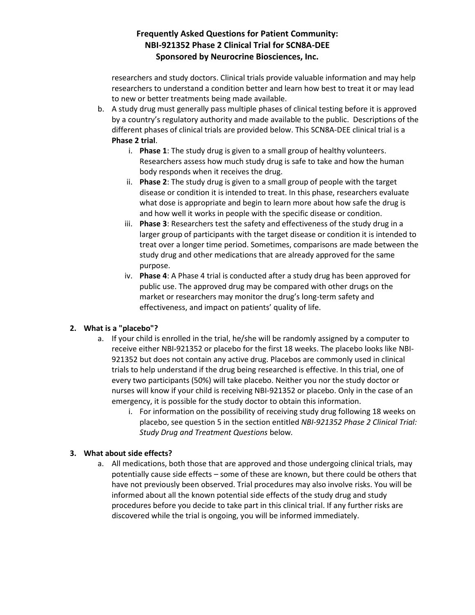researchers and study doctors. Clinical trials provide valuable information and may help researchers to understand a condition better and learn how best to treat it or may lead to new or better treatments being made available.

- b. A study drug must generally pass multiple phases of clinical testing before it is approved by a country's regulatory authority and made available to the public. Descriptions of the different phases of clinical trials are provided below. This SCN8A-DEE clinical trial is a **Phase 2 trial**.
	- i. **Phase 1**: The study drug is given to a small group of healthy volunteers. Researchers assess how much study drug is safe to take and how the human body responds when it receives the drug.
	- ii. **Phase 2**: The study drug is given to a small group of people with the target disease or condition it is intended to treat. In this phase, researchers evaluate what dose is appropriate and begin to learn more about how safe the drug is and how well it works in people with the specific disease or condition.
	- iii. **Phase 3**: Researchers test the safety and effectiveness of the study drug in a larger group of participants with the target disease or condition it is intended to treat over a longer time period. Sometimes, comparisons are made between the study drug and other medications that are already approved for the same purpose.
	- iv. **Phase 4**: A Phase 4 trial is conducted after a study drug has been approved for public use. The approved drug may be compared with other drugs on the market or researchers may monitor the drug's long-term safety and effectiveness, and impact on patients' quality of life.

## **2. What is a "placebo"?**

- a. If your child is enrolled in the trial, he/she will be randomly assigned by a computer to receive either NBI-921352 or placebo for the first 18 weeks. The placebo looks like NBI-921352 but does not contain any active drug. Placebos are commonly used in clinical trials to help understand if the drug being researched is effective. In this trial, one of every two participants (50%) will take placebo. Neither you nor the study doctor or nurses will know if your child is receiving NBI-921352 or placebo. Only in the case of an emergency, it is possible for the study doctor to obtain this information.
	- i. For information on the possibility of receiving study drug following 18 weeks on placebo, see question 5 in the section entitled *NBI-921352 Phase 2 Clinical Trial: Study Drug and Treatment Questions* below*.*

#### **3. What about side effects?**

a. All medications, both those that are approved and those undergoing clinical trials, may potentially cause side effects – some of these are known, but there could be others that have not previously been observed. Trial procedures may also involve risks. You will be informed about all the known potential side effects of the study drug and study procedures before you decide to take part in this clinical trial. If any further risks are discovered while the trial is ongoing, you will be informed immediately.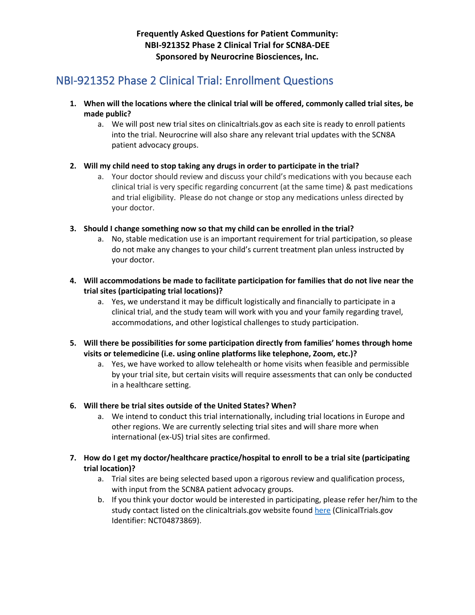## <span id="page-2-0"></span>NBI-921352 Phase 2 Clinical Trial: Enrollment Questions

- **1. When will the locations where the clinical trial will be offered, commonly called trial sites, be made public?** 
	- a. We will post new trial sites on clinicaltrials.gov as each site is ready to enroll patients into the trial. Neurocrine will also share any relevant trial updates with the SCN8A patient advocacy groups.
- **2. Will my child need to stop taking any drugs in order to participate in the trial?**
	- a. Your doctor should review and discuss your child's medications with you because each clinical trial is very specific regarding concurrent (at the same time) & past medications and trial eligibility. Please do not change or stop any medications unless directed by your doctor.
- **3. Should I change something now so that my child can be enrolled in the trial?**
	- a. No, stable medication use is an important requirement for trial participation, so please do not make any changes to your child's current treatment plan unless instructed by your doctor.
- **4. Will accommodations be made to facilitate participation for families that do not live near the trial sites (participating trial locations)?**
	- a. Yes, we understand it may be difficult logistically and financially to participate in a clinical trial, and the study team will work with you and your family regarding travel, accommodations, and other logistical challenges to study participation.
- **5. Will there be possibilities for some participation directly from families' homes through home visits or telemedicine (i.e. using online platforms like telephone, Zoom, etc.)?**
	- a. Yes, we have worked to allow telehealth or home visits when feasible and permissible by your trial site, but certain visits will require assessments that can only be conducted in a healthcare setting.
- **6. Will there be trial sites outside of the United States? When?**
	- a. We intend to conduct this trial internationally, including trial locations in Europe and other regions. We are currently selecting trial sites and will share more when international (ex-US) trial sites are confirmed.
- **7. How do I get my doctor/healthcare practice/hospital to enroll to be a trial site (participating trial location)?** 
	- a. Trial sites are being selected based upon a rigorous review and qualification process, with input from the SCN8A patient advocacy groups.
	- b. If you think your doctor would be interested in participating, please refer her/him to the study contact listed on the clinicaltrials.gov website foun[d here](https://clinicaltrials.gov/ct2/show/NCT04873869?cond=SCN8A+Encephalopathy&draw=2&rank=2) (ClinicalTrials.gov Identifier: NCT04873869).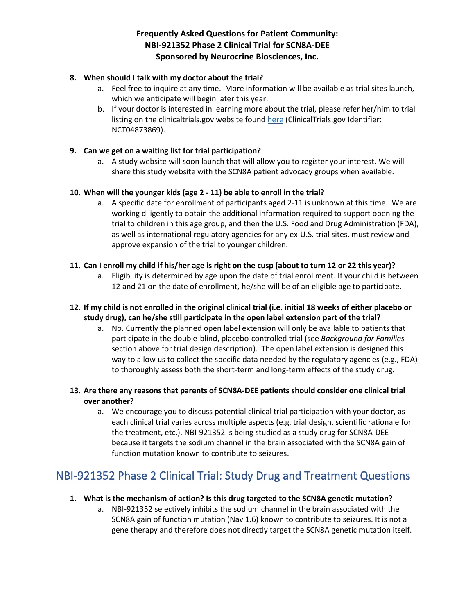#### **8. When should I talk with my doctor about the trial?**

- a. Feel free to inquire at any time. More information will be available as trial sites launch, which we anticipate will begin later this year.
- b. If your doctor is interested in learning more about the trial, please refer her/him to trial listing on the clinicaltrials.gov website found [here](https://clinicaltrials.gov/ct2/show/NCT04873869?cond=SCN8A+Encephalopathy&draw=2&rank=2) (ClinicalTrials.gov Identifier: NCT04873869).

#### **9. Can we get on a waiting list for trial participation?**

a. A study website will soon launch that will allow you to register your interest. We will share this study website with the SCN8A patient advocacy groups when available.

#### **10. When will the younger kids (age 2 - 11) be able to enroll in the trial?**

a. A specific date for enrollment of participants aged 2-11 is unknown at this time. We are working diligently to obtain the additional information required to support opening the trial to children in this age group, and then the U.S. Food and Drug Administration (FDA), as well as international regulatory agencies for any ex-U.S. trial sites, must review and approve expansion of the trial to younger children.

#### **11. Can I enroll my child if his/her age is right on the cusp (about to turn 12 or 22 this year)?**

a. Eligibility is determined by age upon the date of trial enrollment. If your child is between 12 and 21 on the date of enrollment, he/she will be of an eligible age to participate.

#### **12. If my child is not enrolled in the original clinical trial (i.e. initial 18 weeks of either placebo or study drug), can he/she still participate in the open label extension part of the trial?**

- a. No. Currently the planned open label extension will only be available to patients that participate in the double-blind, placebo-controlled trial (see *Background for Families* section above for trial design description). The open label extension is designed this way to allow us to collect the specific data needed by the regulatory agencies (e.g., FDA) to thoroughly assess both the short-term and long-term effects of the study drug.
- **13. Are there any reasons that parents of SCN8A-DEE patients should consider one clinical trial over another?** 
	- a. We encourage you to discuss potential clinical trial participation with your doctor, as each clinical trial varies across multiple aspects (e.g. trial design, scientific rationale for the treatment, etc.). NBI-921352 is being studied as a study drug for SCN8A-DEE because it targets the sodium channel in the brain associated with the SCN8A gain of function mutation known to contribute to seizures.

## <span id="page-3-0"></span>NBI-921352 Phase 2 Clinical Trial: Study Drug and Treatment Questions

#### **1. What is the mechanism of action? Is this drug targeted to the SCN8A genetic mutation?**

a. NBI-921352 selectively inhibits the sodium channel in the brain associated with the SCN8A gain of function mutation (Nav 1.6) known to contribute to seizures. It is not a gene therapy and therefore does not directly target the SCN8A genetic mutation itself.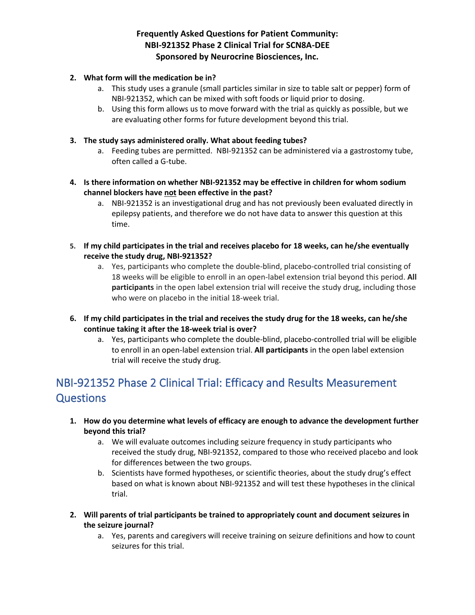#### **2. What form will the medication be in?**

- a. This study uses a granule (small particles similar in size to table salt or pepper) form of NBI-921352, which can be mixed with soft foods or liquid prior to dosing.
- b. Using this form allows us to move forward with the trial as quickly as possible, but we are evaluating other forms for future development beyond this trial.

#### **3. The study says administered orally. What about feeding tubes?**

- a. Feeding tubes are permitted. NBI-921352 can be administered via a gastrostomy tube, often called a G-tube.
- **4. Is there information on whether NBI-921352 may be effective in children for whom sodium channel blockers have not been effective in the past?**
	- a. NBI-921352 is an investigational drug and has not previously been evaluated directly in epilepsy patients, and therefore we do not have data to answer this question at this time.
- **5. If my child participates in the trial and receives placebo for 18 weeks, can he/she eventually receive the study drug, NBI-921352?**
	- a. Yes, participants who complete the double-blind, placebo-controlled trial consisting of 18 weeks will be eligible to enroll in an open-label extension trial beyond this period. **All participants** in the open label extension trial will receive the study drug, including those who were on placebo in the initial 18-week trial.
- **6. If my child participates in the trial and receives the study drug for the 18 weeks, can he/she continue taking it after the 18-week trial is over?**
	- a. Yes, participants who complete the double-blind, placebo-controlled trial will be eligible to enroll in an open-label extension trial. **All participants** in the open label extension trial will receive the study drug.

## <span id="page-4-0"></span>NBI-921352 Phase 2 Clinical Trial: Efficacy and Results Measurement **Questions**

- **1. How do you determine what levels of efficacy are enough to advance the development further beyond this trial?**
	- a. We will evaluate outcomes including seizure frequency in study participants who received the study drug, NBI-921352, compared to those who received placebo and look for differences between the two groups.
	- b. Scientists have formed hypotheses, or scientific theories, about the study drug's effect based on what is known about NBI-921352 and will test these hypotheses in the clinical trial.
- **2. Will parents of trial participants be trained to appropriately count and document seizures in the seizure journal?**
	- a. Yes, parents and caregivers will receive training on seizure definitions and how to count seizures for this trial.